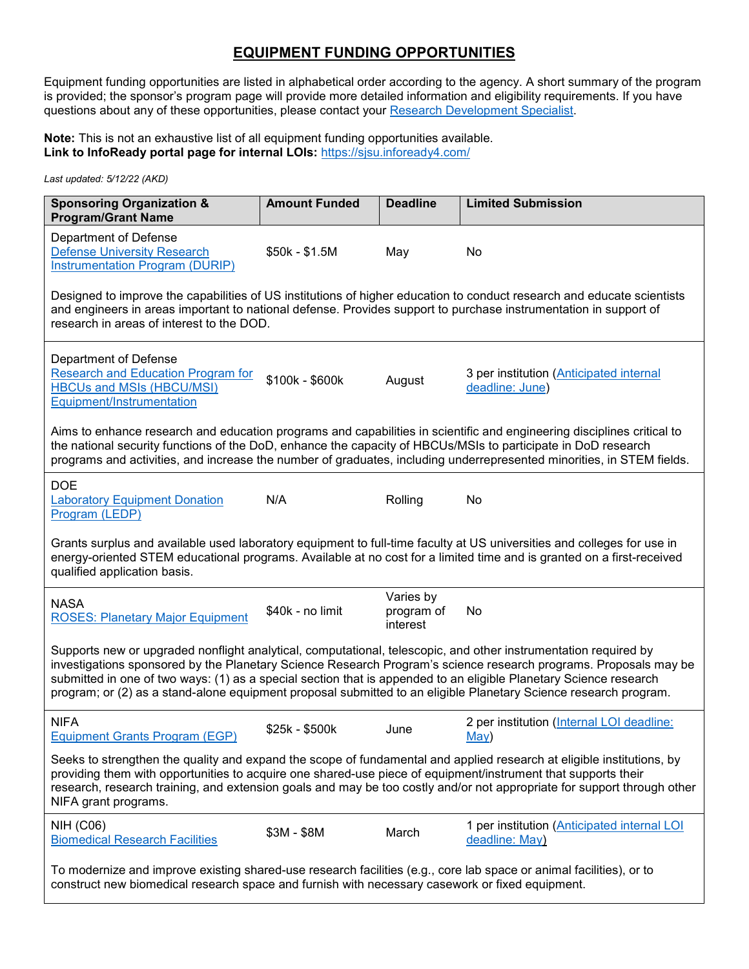## **EQUIPMENT FUNDING OPPORTUNITIES**

Equipment funding opportunities are listed in alphabetical order according to the agency. A short summary of the program is provided; the sponsor's program page will provide more detailed information and eligibility requirements. If you have questions about any of these opportunities, please contact your [Research Development Specialist.](https://www.sjsu.edu/research/research-development/about-us.php)

**Note:** This is not an exhaustive list of all equipment funding opportunities available. Link to InfoReady portal page for internal LOIs: <https://sjsu.infoready4.com/>

*Last updated: 5/12/22 (AKD)*

| <b>Sponsoring Organization &amp;</b><br><b>Program/Grant Name</b>                                                                                                                                                                                                                                                                                                                                                                                                            | <b>Amount Funded</b> | <b>Deadline</b>                     | <b>Limited Submission</b>                                     |  |  |  |
|------------------------------------------------------------------------------------------------------------------------------------------------------------------------------------------------------------------------------------------------------------------------------------------------------------------------------------------------------------------------------------------------------------------------------------------------------------------------------|----------------------|-------------------------------------|---------------------------------------------------------------|--|--|--|
| Department of Defense<br><b>Defense University Research</b><br><b>Instrumentation Program (DURIP)</b>                                                                                                                                                                                                                                                                                                                                                                        | \$50k - \$1.5M       | May                                 | No                                                            |  |  |  |
| Designed to improve the capabilities of US institutions of higher education to conduct research and educate scientists<br>and engineers in areas important to national defense. Provides support to purchase instrumentation in support of<br>research in areas of interest to the DOD.                                                                                                                                                                                      |                      |                                     |                                                               |  |  |  |
| Department of Defense<br><b>Research and Education Program for</b><br><b>HBCUs and MSIs (HBCU/MSI)</b><br>Equipment/Instrumentation                                                                                                                                                                                                                                                                                                                                          | \$100k - \$600k      | August                              | 3 per institution (Anticipated internal<br>deadline: June)    |  |  |  |
| Aims to enhance research and education programs and capabilities in scientific and engineering disciplines critical to<br>the national security functions of the DoD, enhance the capacity of HBCUs/MSIs to participate in DoD research<br>programs and activities, and increase the number of graduates, including underrepresented minorities, in STEM fields.                                                                                                             |                      |                                     |                                                               |  |  |  |
| <b>DOE</b><br><b>Laboratory Equipment Donation</b><br>Program (LEDP)                                                                                                                                                                                                                                                                                                                                                                                                         | N/A                  | Rolling                             | No                                                            |  |  |  |
| Grants surplus and available used laboratory equipment to full-time faculty at US universities and colleges for use in<br>energy-oriented STEM educational programs. Available at no cost for a limited time and is granted on a first-received<br>qualified application basis.                                                                                                                                                                                              |                      |                                     |                                                               |  |  |  |
| <b>NASA</b><br><b>ROSES: Planetary Major Equipment</b>                                                                                                                                                                                                                                                                                                                                                                                                                       | \$40k - no limit     | Varies by<br>program of<br>interest | No                                                            |  |  |  |
| Supports new or upgraded nonflight analytical, computational, telescopic, and other instrumentation required by<br>investigations sponsored by the Planetary Science Research Program's science research programs. Proposals may be<br>submitted in one of two ways: (1) as a special section that is appended to an eligible Planetary Science research<br>program; or (2) as a stand-alone equipment proposal submitted to an eligible Planetary Science research program. |                      |                                     |                                                               |  |  |  |
| <b>NIFA</b><br><b>Equipment Grants Program (EGP)</b>                                                                                                                                                                                                                                                                                                                                                                                                                         | \$25k - \$500k       | June                                | 2 per institution (Internal LOI deadline:<br>May)             |  |  |  |
| Seeks to strengthen the quality and expand the scope of fundamental and applied research at eligible institutions, by<br>providing them with opportunities to acquire one shared-use piece of equipment/instrument that supports their<br>research, research training, and extension goals and may be too costly and/or not appropriate for support through other<br>NIFA grant programs.                                                                                    |                      |                                     |                                                               |  |  |  |
| <b>NIH (C06)</b><br><b>Biomedical Research Facilities</b>                                                                                                                                                                                                                                                                                                                                                                                                                    | $$3M - $8M$          | March                               | 1 per institution (Anticipated internal LOI<br>deadline: May) |  |  |  |
| To modernize and improve existing shared-use research facilities (e.g., core lab space or animal facilities), or to<br>construct new biomedical research space and furnish with necessary casework or fixed equipment.                                                                                                                                                                                                                                                       |                      |                                     |                                                               |  |  |  |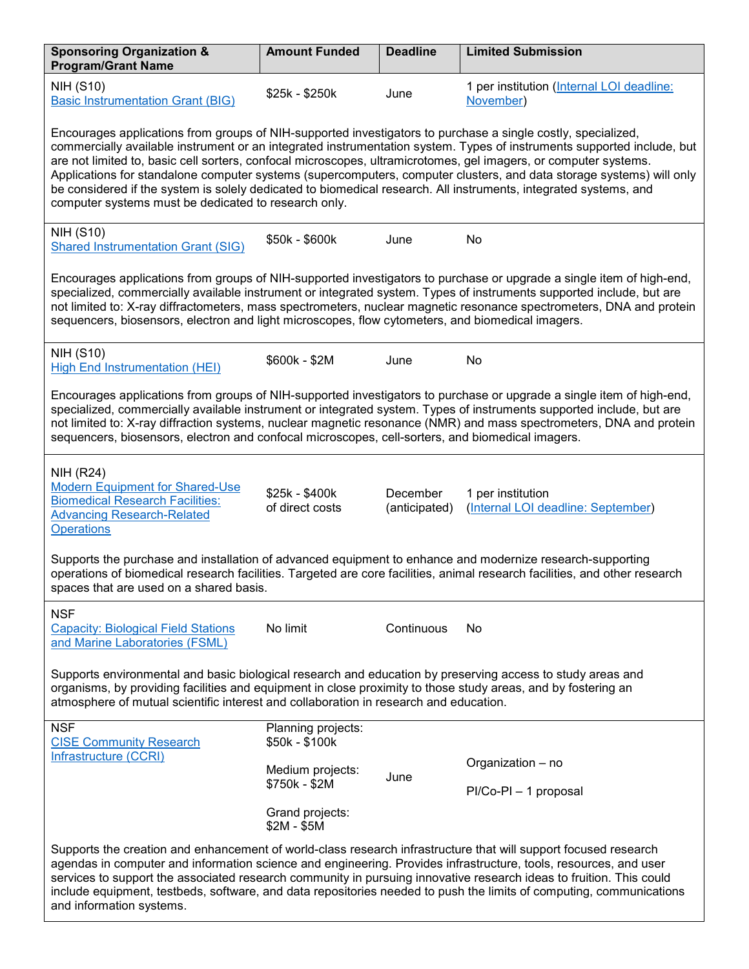| <b>Sponsoring Organization &amp;</b><br><b>Program/Grant Name</b>                                                                                                                                                                                                                                                                                                                                                                                                                                                                                                                                                                                              | <b>Amount Funded</b>                 | <b>Deadline</b>           | <b>Limited Submission</b>                               |  |  |  |
|----------------------------------------------------------------------------------------------------------------------------------------------------------------------------------------------------------------------------------------------------------------------------------------------------------------------------------------------------------------------------------------------------------------------------------------------------------------------------------------------------------------------------------------------------------------------------------------------------------------------------------------------------------------|--------------------------------------|---------------------------|---------------------------------------------------------|--|--|--|
| <b>NIH (S10)</b><br><b>Basic Instrumentation Grant (BIG)</b>                                                                                                                                                                                                                                                                                                                                                                                                                                                                                                                                                                                                   | \$25k - \$250k                       | June                      | 1 per institution (Internal LOI deadline:<br>November)  |  |  |  |
| Encourages applications from groups of NIH-supported investigators to purchase a single costly, specialized,<br>commercially available instrument or an integrated instrumentation system. Types of instruments supported include, but<br>are not limited to, basic cell sorters, confocal microscopes, ultramicrotomes, gel imagers, or computer systems.<br>Applications for standalone computer systems (supercomputers, computer clusters, and data storage systems) will only<br>be considered if the system is solely dedicated to biomedical research. All instruments, integrated systems, and<br>computer systems must be dedicated to research only. |                                      |                           |                                                         |  |  |  |
| <b>NIH (S10)</b><br><b>Shared Instrumentation Grant (SIG)</b>                                                                                                                                                                                                                                                                                                                                                                                                                                                                                                                                                                                                  | \$50k - \$600k                       | June                      | No                                                      |  |  |  |
| Encourages applications from groups of NIH-supported investigators to purchase or upgrade a single item of high-end,<br>specialized, commercially available instrument or integrated system. Types of instruments supported include, but are<br>not limited to: X-ray diffractometers, mass spectrometers, nuclear magnetic resonance spectrometers, DNA and protein<br>sequencers, biosensors, electron and light microscopes, flow cytometers, and biomedical imagers.                                                                                                                                                                                       |                                      |                           |                                                         |  |  |  |
| <b>NIH (S10)</b><br><b>High End Instrumentation (HEI)</b>                                                                                                                                                                                                                                                                                                                                                                                                                                                                                                                                                                                                      | \$600k - \$2M                        | June                      | No                                                      |  |  |  |
| Encourages applications from groups of NIH-supported investigators to purchase or upgrade a single item of high-end,<br>specialized, commercially available instrument or integrated system. Types of instruments supported include, but are<br>not limited to: X-ray diffraction systems, nuclear magnetic resonance (NMR) and mass spectrometers, DNA and protein<br>sequencers, biosensors, electron and confocal microscopes, cell-sorters, and biomedical imagers.                                                                                                                                                                                        |                                      |                           |                                                         |  |  |  |
| <b>NIH (R24)</b><br><b>Modern Equipment for Shared-Use</b><br><b>Biomedical Research Facilities:</b><br><b>Advancing Research-Related</b><br><b>Operations</b>                                                                                                                                                                                                                                                                                                                                                                                                                                                                                                 | \$25k - \$400k<br>of direct costs    | December<br>(anticipated) | 1 per institution<br>(Internal LOI deadline: September) |  |  |  |
| Supports the purchase and installation of advanced equipment to enhance and modernize research-supporting<br>operations of biomedical research facilities. Targeted are core facilities, animal research facilities, and other research<br>spaces that are used on a shared basis.                                                                                                                                                                                                                                                                                                                                                                             |                                      |                           |                                                         |  |  |  |
| <b>NSF</b><br><b>Capacity: Biological Field Stations</b><br>and Marine Laboratories (FSML)                                                                                                                                                                                                                                                                                                                                                                                                                                                                                                                                                                     | No limit                             | Continuous                | No                                                      |  |  |  |
| Supports environmental and basic biological research and education by preserving access to study areas and<br>organisms, by providing facilities and equipment in close proximity to those study areas, and by fostering an<br>atmosphere of mutual scientific interest and collaboration in research and education.                                                                                                                                                                                                                                                                                                                                           |                                      |                           |                                                         |  |  |  |
| <b>NSF</b><br><b>CISE Community Research</b>                                                                                                                                                                                                                                                                                                                                                                                                                                                                                                                                                                                                                   | Planning projects:<br>\$50k - \$100k |                           |                                                         |  |  |  |
| Infrastructure (CCRI)                                                                                                                                                                                                                                                                                                                                                                                                                                                                                                                                                                                                                                          | Medium projects:<br>\$750k - \$2M    | June                      | Organization - no                                       |  |  |  |
|                                                                                                                                                                                                                                                                                                                                                                                                                                                                                                                                                                                                                                                                | Grand projects:<br>$$2M - $5M$       |                           | PI/Co-PI - 1 proposal                                   |  |  |  |
| Supports the creation and enhancement of world-class research infrastructure that will support focused research<br>agendas in computer and information science and engineering. Provides infrastructure, tools, resources, and user<br>services to support the associated research community in pursuing innovative research ideas to fruition. This could<br>include equipment, testbeds, software, and data repositories needed to push the limits of computing, communications<br>and information systems.                                                                                                                                                  |                                      |                           |                                                         |  |  |  |